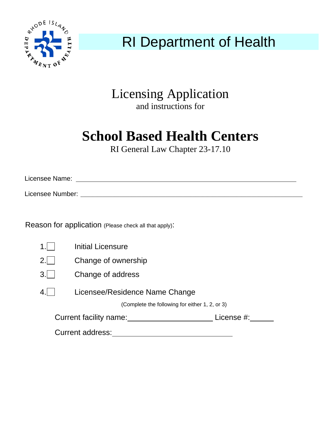

## RI Department of Health

### Licensing Application and instructions for

# **School Based Health Centers**

RI General Law Chapter 23-17.10

Licensee Name:

Licensee Number: \_\_\_\_\_\_\_\_\_\_\_\_\_\_\_\_\_\_\_\_\_\_\_\_\_\_\_\_\_\_\_\_\_\_\_\_\_\_\_\_\_\_\_\_\_\_\_\_\_\_\_\_\_\_\_\_\_\_\_\_\_\_\_\_\_\_\_\_\_\_\_\_\_\_\_\_\_\_\_\_\_\_\_\_\_\_\_\_\_\_\_

Reason for application (Please check all that apply):

|                                      | Initial Licensure                              |  |  |
|--------------------------------------|------------------------------------------------|--|--|
| 2.1                                  | Change of ownership                            |  |  |
| 3.1                                  | Change of address                              |  |  |
|                                      | Licensee/Residence Name Change                 |  |  |
|                                      | (Complete the following for either 1, 2, or 3) |  |  |
| Current facility name:<br>License #: |                                                |  |  |

Current address:<br>
<u>Current address:</u>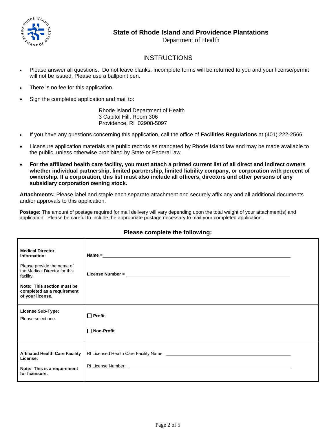

#### **State of Rhode Island and Providence Plantations**

Department of Health

#### **INSTRUCTIONS**

- Please answer all questions. Do not leave blanks. Incomplete forms will be returned to you and your license/permit will not be issued. Please use a ballpoint pen.
- There is no fee for this application.
- Sign the completed application and mail to:

 Rhode Island Department of Health 3 Capitol Hill, Room 306 Providence, RI 02908-5097

- If you have any questions concerning this application, call the office of **Facilities Regulations** at (401) 222-2566.
- Licensure application materials are public records as mandated by Rhode Island law and may be made available to the public, unless otherwise prohibited by State or Federal law.
- **For the affiliated health care facility, you must attach a printed current list of all direct and indirect owners whether individual partnership, limited partnership, limited liability company, or corporation with percent of ownership. If a corporation, this list must also include all officers, directors and other persons of any subsidiary corporation owning stock.**

**Attachments:** Please label and staple each separate attachment and securely affix any and all additional documents and/or approvals to this application.

**Postage:** The amount of postage required for mail delivery will vary depending upon the total weight of your attachment(s) and application. Please be careful to include the appropriate postage necessary to mail your completed application.

| <b>Medical Director</b><br>Information:<br>Please provide the name of<br>the Medical Director for this<br>facility.<br>Note: This section must be<br>completed as a requirement<br>of your license. |                                    |  |
|-----------------------------------------------------------------------------------------------------------------------------------------------------------------------------------------------------|------------------------------------|--|
| <b>License Sub-Type:</b><br>Please select one.                                                                                                                                                      | $\Box$ Profit<br>$\Box$ Non-Profit |  |
| <b>Affiliated Health Care Facility</b><br>License:<br>Note: This is a requirement<br>for licensure.                                                                                                 |                                    |  |

#### **Please complete the following:**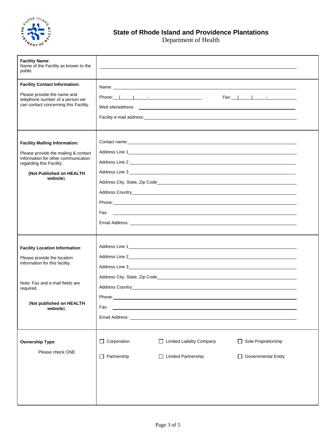

### **State of Rhode Island and Providence Plantations**

Department of Health

| <b>Facility Name:</b><br>Name of the Facility as known to the<br>public     |                                                                                                                                                                                                                                |                                                                                                                                                                                                                                     |                                                                                                                                                                                                                                |  |
|-----------------------------------------------------------------------------|--------------------------------------------------------------------------------------------------------------------------------------------------------------------------------------------------------------------------------|-------------------------------------------------------------------------------------------------------------------------------------------------------------------------------------------------------------------------------------|--------------------------------------------------------------------------------------------------------------------------------------------------------------------------------------------------------------------------------|--|
| <b>Facility Contact Information:</b>                                        |                                                                                                                                                                                                                                |                                                                                                                                                                                                                                     |                                                                                                                                                                                                                                |  |
| Please provide the name and                                                 | Phone: ( ) - ( ) - ( ) - ( ) - ( ) - ( ) - ( ) - ( ) - ( ) - ( ) - ( ) - ( ) - ( ) - ( ) - ( ) - ( ) - ( ) - ( ) - ( ) - ( ) - ( ) - ( ) - ( ) - ( ) - ( ) - ( ) - ( ) - ( ) - ( ) - ( ) - ( ) - ( ) - ( ) - ( ) - ( ) - ( ) - |                                                                                                                                                                                                                                     | $\begin{array}{cccc} \text{Fax:} & ( & ) & \text{ } & \text{ } & \text{ } \end{array}$                                                                                                                                         |  |
| telephone number of a person we<br>can contact concerning this Facility.    |                                                                                                                                                                                                                                |                                                                                                                                                                                                                                     |                                                                                                                                                                                                                                |  |
|                                                                             |                                                                                                                                                                                                                                |                                                                                                                                                                                                                                     |                                                                                                                                                                                                                                |  |
|                                                                             |                                                                                                                                                                                                                                |                                                                                                                                                                                                                                     |                                                                                                                                                                                                                                |  |
|                                                                             |                                                                                                                                                                                                                                |                                                                                                                                                                                                                                     |                                                                                                                                                                                                                                |  |
| <b>Facility Mailing Information:</b>                                        |                                                                                                                                                                                                                                |                                                                                                                                                                                                                                     | Contact name: experience and the contract of the contract of the contract of the contract of the contract of the contract of the contract of the contract of the contract of the contract of the contract of the contract of t |  |
| Please provide the mailing & contact<br>information for other communication |                                                                                                                                                                                                                                |                                                                                                                                                                                                                                     |                                                                                                                                                                                                                                |  |
| regarding this Facility.                                                    |                                                                                                                                                                                                                                |                                                                                                                                                                                                                                     |                                                                                                                                                                                                                                |  |
| (Not Published on HEALTH<br>website).                                       |                                                                                                                                                                                                                                |                                                                                                                                                                                                                                     |                                                                                                                                                                                                                                |  |
|                                                                             |                                                                                                                                                                                                                                |                                                                                                                                                                                                                                     | Address City, State, Zip Code <b>Address City, State, Zip Code Address City, State, Zip Code</b>                                                                                                                               |  |
|                                                                             |                                                                                                                                                                                                                                |                                                                                                                                                                                                                                     |                                                                                                                                                                                                                                |  |
|                                                                             |                                                                                                                                                                                                                                |                                                                                                                                                                                                                                     |                                                                                                                                                                                                                                |  |
|                                                                             |                                                                                                                                                                                                                                |                                                                                                                                                                                                                                     |                                                                                                                                                                                                                                |  |
|                                                                             |                                                                                                                                                                                                                                | Email Address: <u>Communications</u> Communications of the Communications of the Communications of the Communications of the Communications of the Communications of the Communications of the Communications of the Communications |                                                                                                                                                                                                                                |  |
|                                                                             |                                                                                                                                                                                                                                |                                                                                                                                                                                                                                     |                                                                                                                                                                                                                                |  |
| <b>Facility Location Information:</b>                                       |                                                                                                                                                                                                                                |                                                                                                                                                                                                                                     | Address Line 1 https://www.acceleration.com/www.acceleration.com/www.acceleration.com/www.acceleration.com/www.acceleration.com/www.acceleration.com/www.acceleration.com/www.acceleration.com/www.acceleration.com/www.accele |  |
| Please provide the location                                                 |                                                                                                                                                                                                                                |                                                                                                                                                                                                                                     |                                                                                                                                                                                                                                |  |
| information for this facility.                                              |                                                                                                                                                                                                                                |                                                                                                                                                                                                                                     |                                                                                                                                                                                                                                |  |
|                                                                             |                                                                                                                                                                                                                                |                                                                                                                                                                                                                                     |                                                                                                                                                                                                                                |  |
| Note: Fax and e-mail fields are<br>required.                                |                                                                                                                                                                                                                                |                                                                                                                                                                                                                                     |                                                                                                                                                                                                                                |  |
|                                                                             | Phone:                                                                                                                                                                                                                         |                                                                                                                                                                                                                                     |                                                                                                                                                                                                                                |  |
| (Not published on HEALTH<br>website).                                       | Fax:                                                                                                                                                                                                                           |                                                                                                                                                                                                                                     |                                                                                                                                                                                                                                |  |
|                                                                             |                                                                                                                                                                                                                                | Email Address: <b>Example 2018</b>                                                                                                                                                                                                  |                                                                                                                                                                                                                                |  |
|                                                                             |                                                                                                                                                                                                                                |                                                                                                                                                                                                                                     |                                                                                                                                                                                                                                |  |
| <b>Ownership Type:</b>                                                      | $\Box$ Corporation                                                                                                                                                                                                             | □ Limited Liability Company                                                                                                                                                                                                         | Sole Proprietorship                                                                                                                                                                                                            |  |
| Please check ONE                                                            |                                                                                                                                                                                                                                |                                                                                                                                                                                                                                     |                                                                                                                                                                                                                                |  |
|                                                                             | $\Box$ Partnership                                                                                                                                                                                                             | □ Limited Partnership                                                                                                                                                                                                               | Governmental Entity                                                                                                                                                                                                            |  |
|                                                                             |                                                                                                                                                                                                                                |                                                                                                                                                                                                                                     |                                                                                                                                                                                                                                |  |
|                                                                             |                                                                                                                                                                                                                                |                                                                                                                                                                                                                                     |                                                                                                                                                                                                                                |  |
|                                                                             |                                                                                                                                                                                                                                |                                                                                                                                                                                                                                     |                                                                                                                                                                                                                                |  |
|                                                                             |                                                                                                                                                                                                                                |                                                                                                                                                                                                                                     |                                                                                                                                                                                                                                |  |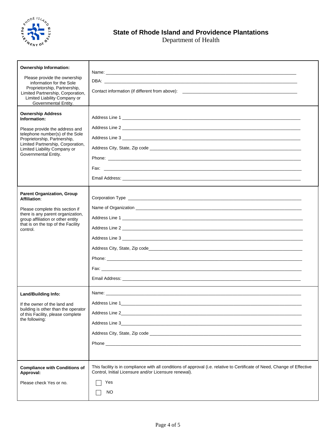

Department of Health

| <b>Ownership Information:</b>                                                              |                                                                                                                                                                                    |
|--------------------------------------------------------------------------------------------|------------------------------------------------------------------------------------------------------------------------------------------------------------------------------------|
| Please provide the ownership                                                               |                                                                                                                                                                                    |
| information for the Sole<br>Proprietorship, Partnership,                                   |                                                                                                                                                                                    |
| Limited Partnership, Corporation,<br>Limited Liability Company or                          |                                                                                                                                                                                    |
| Governmental Entity.                                                                       |                                                                                                                                                                                    |
| <b>Ownership Address</b><br>Information:                                                   |                                                                                                                                                                                    |
| Please provide the address and                                                             |                                                                                                                                                                                    |
| telephone number(s) of the Sole<br>Proprietorship, Partnership,                            | Address Line 3                                                                                                                                                                     |
| Limited Partnership, Corporation,<br>Limited Liability Company or                          |                                                                                                                                                                                    |
| Governmental Entity.                                                                       |                                                                                                                                                                                    |
|                                                                                            |                                                                                                                                                                                    |
|                                                                                            |                                                                                                                                                                                    |
|                                                                                            |                                                                                                                                                                                    |
| <b>Parent Organization, Group</b>                                                          |                                                                                                                                                                                    |
| <b>Affiliation:</b>                                                                        |                                                                                                                                                                                    |
| Please complete this section if<br>there is any parent organization,                       |                                                                                                                                                                                    |
| group affiliation or other entity<br>that is on the top of the Facility                    |                                                                                                                                                                                    |
| control.                                                                                   |                                                                                                                                                                                    |
|                                                                                            | Address Line 3                                                                                                                                                                     |
|                                                                                            |                                                                                                                                                                                    |
|                                                                                            |                                                                                                                                                                                    |
|                                                                                            |                                                                                                                                                                                    |
|                                                                                            |                                                                                                                                                                                    |
| Land/Building Info:                                                                        |                                                                                                                                                                                    |
| If the owner of the land and                                                               | Address Line 1                                                                                                                                                                     |
| building is other than the operator<br>of this Facility, please complete<br>the following: |                                                                                                                                                                                    |
|                                                                                            |                                                                                                                                                                                    |
|                                                                                            |                                                                                                                                                                                    |
|                                                                                            |                                                                                                                                                                                    |
|                                                                                            |                                                                                                                                                                                    |
|                                                                                            |                                                                                                                                                                                    |
| <b>Compliance with Conditions of</b><br>Approval:                                          | This facility is in compliance with all conditions of approval (i.e. relative to Certificate of Need, Change of Effective<br>Control, Initial Licensure and/or Licensure renewal). |
| Please check Yes or no.                                                                    | Yes                                                                                                                                                                                |
|                                                                                            | NO.                                                                                                                                                                                |
|                                                                                            |                                                                                                                                                                                    |